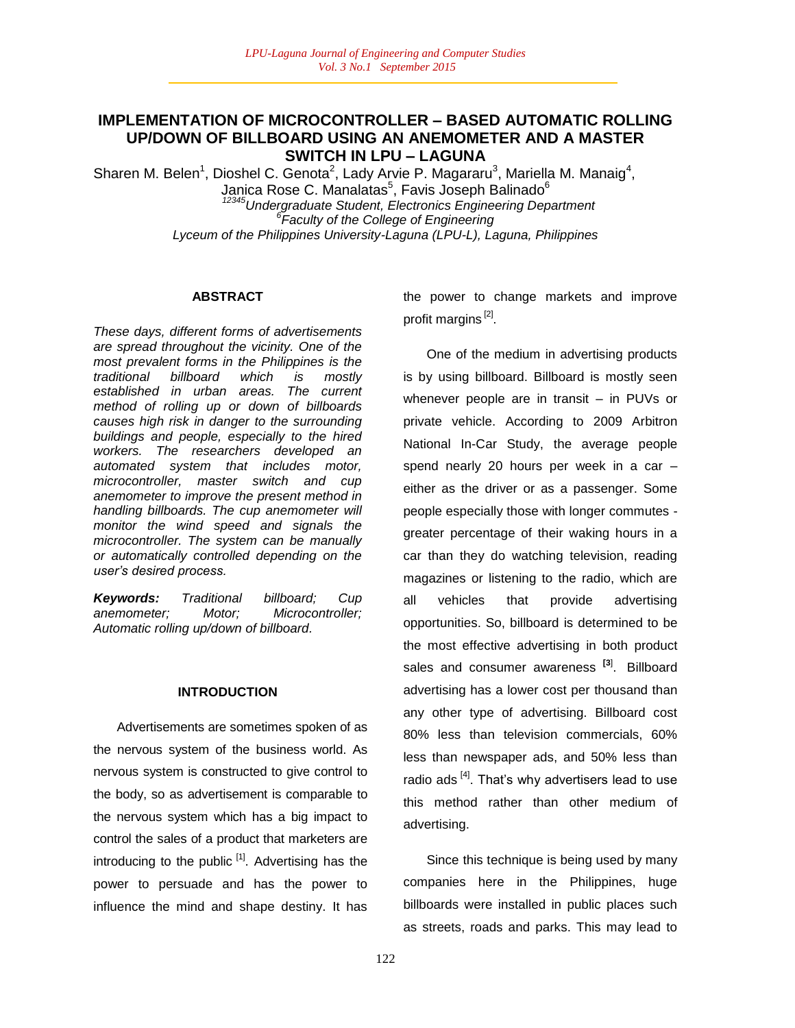## **IMPLEMENTATION OF MICROCONTROLLER – BASED AUTOMATIC ROLLING UP/DOWN OF BILLBOARD USING AN ANEMOMETER AND A MASTER SWITCH IN LPU – LAGUNA**

Sharen M. Belen<sup>1</sup>, Dioshel C. Genota<sup>2</sup>, Lady Arvie P. Magararu<sup>3</sup>, Mariella M. Manaig<sup>4</sup>, Janica Rose C. Manalatas<sup>5</sup>, Favis Joseph Balinado<sup>6</sup> *<sup>12345</sup>Undergraduate Student, Electronics Engineering Department 6 Faculty of the College of Engineering Lyceum of the Philippines University-Laguna (LPU-L), Laguna, Philippines*

## **ABSTRACT**

*These days, different forms of advertisements are spread throughout the vicinity. One of the most prevalent forms in the Philippines is the traditional billboard which is mostly established in urban areas. The current method of rolling up or down of billboards causes high risk in danger to the surrounding buildings and people, especially to the hired workers. The researchers developed an automated system that includes motor, microcontroller, master switch and cup anemometer to improve the present method in handling billboards. The cup anemometer will monitor the wind speed and signals the microcontroller. The system can be manually or automatically controlled depending on the user"s desired process.*

*Keywords: Traditional billboard; Cup anemometer; Motor; Microcontroller; Automatic rolling up/down of billboard.*

#### **INTRODUCTION**

Advertisements are sometimes spoken of as the nervous system of the business world. As nervous system is constructed to give control to the body, so as advertisement is comparable to the nervous system which has a big impact to control the sales of a product that marketers are introducing to the public <sup>[1]</sup>. Advertising has the power to persuade and has the power to influence the mind and shape destiny. It has

the power to change markets and improve profit margins<sup>[2]</sup>.

One of the medium in advertising products is by using billboard. Billboard is mostly seen whenever people are in transit – in PUVs or private vehicle. According to 2009 Arbitron National In-Car Study, the average people spend nearly 20 hours per week in a car – either as the driver or as a passenger. Some people especially those with longer commutes greater percentage of their waking hours in a car than they do watching television, reading magazines or listening to the radio, which are all vehicles that provide advertising opportunities. So, billboard is determined to be the most effective advertising in both product sales and consumer awareness **[3**] . Billboard advertising has a lower cost per thousand than any other type of advertising. Billboard cost 80% less than television commercials, 60% less than newspaper ads, and 50% less than radio ads  $[4]$ . That's why advertisers lead to use this method rather than other medium of advertising.

Since this technique is being used by many companies here in the Philippines, huge billboards were installed in public places such as streets, roads and parks. This may lead to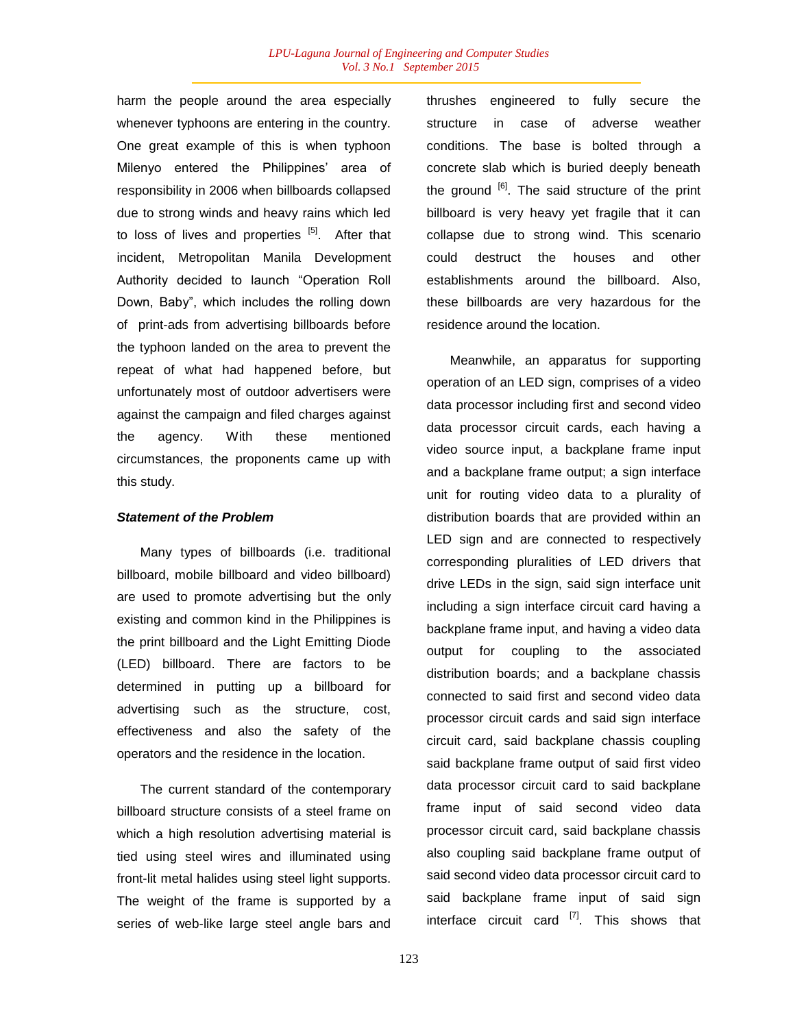harm the people around the area especially whenever typhoons are entering in the country. One great example of this is when typhoon Milenyo entered the Philippines' area of responsibility in 2006 when billboards collapsed due to strong winds and heavy rains which led to loss of lives and properties  $[5]$ . After that incident, Metropolitan Manila Development Authority decided to launch "Operation Roll Down, Baby", which includes the rolling down of print-ads from advertising billboards before the typhoon landed on the area to prevent the repeat of what had happened before, but unfortunately most of outdoor advertisers were against the campaign and filed charges against the agency. With these mentioned circumstances, the proponents came up with this study.

#### *Statement of the Problem*

Many types of billboards (i.e. traditional billboard, mobile billboard and video billboard) are used to promote advertising but the only existing and common kind in the Philippines is the print billboard and the Light Emitting Diode (LED) billboard. There are factors to be determined in putting up a billboard for advertising such as the structure, cost, effectiveness and also the safety of the operators and the residence in the location.

The current standard of the contemporary billboard structure consists of a steel frame on which a high resolution advertising material is tied using steel wires and illuminated using front-lit metal halides using steel light supports. The weight of the frame is supported by a series of web-like large steel angle bars and thrushes engineered to fully secure the structure in case of adverse weather conditions. The base is bolted through a concrete slab which is buried deeply beneath the ground  $\left[6\right]$ . The said structure of the print billboard is very heavy yet fragile that it can collapse due to strong wind. This scenario could destruct the houses and other establishments around the billboard. Also, these billboards are very hazardous for the residence around the location.

Meanwhile, an apparatus for supporting operation of an LED sign, comprises of a video data processor including first and second video data processor circuit cards, each having a video source input, a backplane frame input and a backplane frame output; a sign interface unit for routing video data to a plurality of distribution boards that are provided within an LED sign and are connected to respectively corresponding pluralities of LED drivers that drive LEDs in the sign, said sign interface unit including a sign interface circuit card having a backplane frame input, and having a video data output for coupling to the associated distribution boards; and a backplane chassis connected to said first and second video data processor circuit cards and said sign interface circuit card, said backplane chassis coupling said backplane frame output of said first video data processor circuit card to said backplane frame input of said second video data processor circuit card, said backplane chassis also coupling said backplane frame output of said second video data processor circuit card to said backplane frame input of said sign interface circuit card <sup>[7]</sup>. This shows that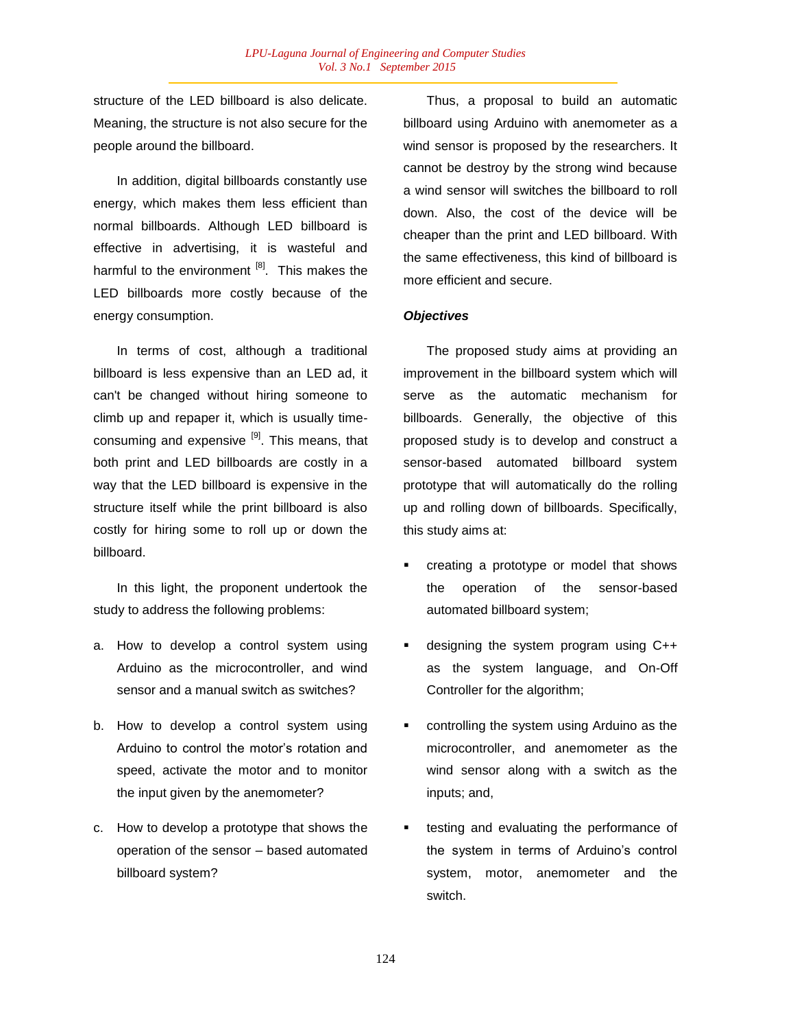structure of the LED billboard is also delicate. Meaning, the structure is not also secure for the people around the billboard.

In addition, digital billboards constantly use energy, which makes them less efficient than normal billboards. Although LED billboard is effective in advertising, it is wasteful and harmful to the environment <sup>[8]</sup>. This makes the LED billboards more costly because of the energy consumption.

In terms of cost, although a traditional billboard is less expensive than an LED ad, it can't be changed without hiring someone to climb up and repaper it, which is usually timeconsuming and expensive  $[9]$ . This means, that both print and LED billboards are costly in a way that the LED billboard is expensive in the structure itself while the print billboard is also costly for hiring some to roll up or down the billboard.

In this light, the proponent undertook the study to address the following problems:

- a. How to develop a control system using Arduino as the microcontroller, and wind sensor and a manual switch as switches?
- b. How to develop a control system using Arduino to control the motor"s rotation and speed, activate the motor and to monitor the input given by the anemometer?
- c. How to develop a prototype that shows the operation of the sensor – based automated billboard system?

Thus, a proposal to build an automatic billboard using Arduino with anemometer as a wind sensor is proposed by the researchers. It cannot be destroy by the strong wind because a wind sensor will switches the billboard to roll down. Also, the cost of the device will be cheaper than the print and LED billboard. With the same effectiveness, this kind of billboard is more efficient and secure.

## *Objectives*

The proposed study aims at providing an improvement in the billboard system which will serve as the automatic mechanism for billboards. Generally, the objective of this proposed study is to develop and construct a sensor-based automated billboard system prototype that will automatically do the rolling up and rolling down of billboards. Specifically, this study aims at:

- creating a prototype or model that shows the operation of the sensor-based automated billboard system;
- designing the system program using C++ as the system language, and On-Off Controller for the algorithm;
- controlling the system using Arduino as the microcontroller, and anemometer as the wind sensor along with a switch as the inputs; and,
- testing and evaluating the performance of the system in terms of Arduino"s control system, motor, anemometer and the switch.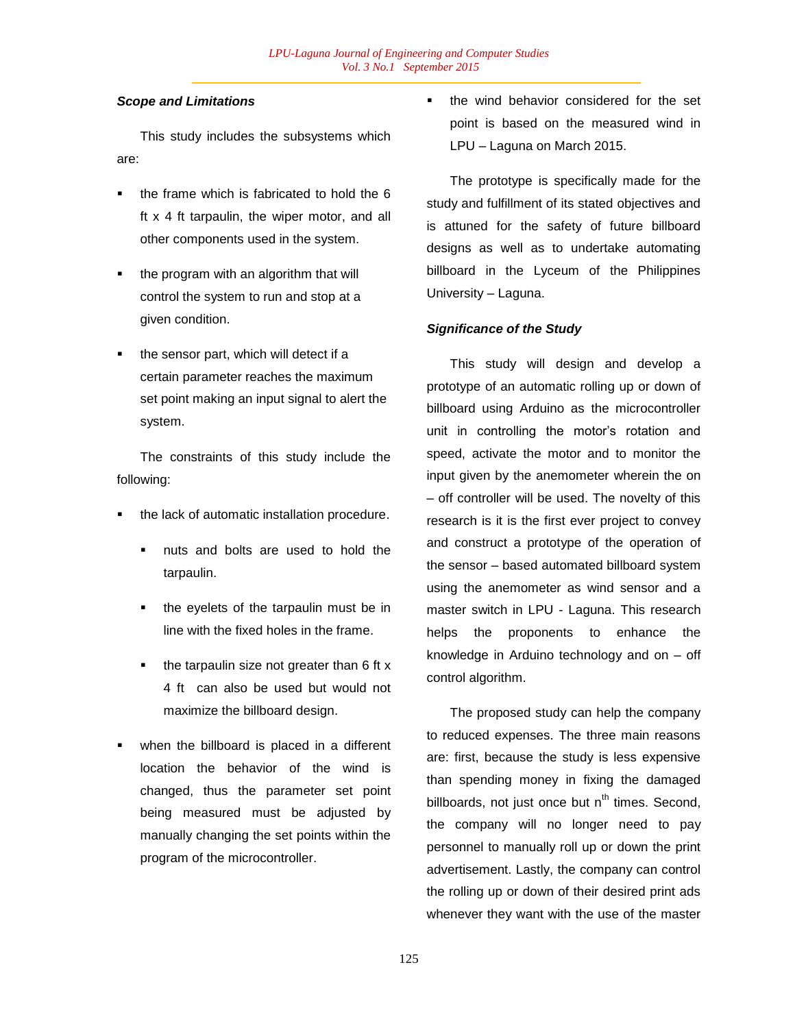## *Scope and Limitations*

This study includes the subsystems which are:

- the frame which is fabricated to hold the 6 ft x 4 ft tarpaulin, the wiper motor, and all other components used in the system.
- the program with an algorithm that will control the system to run and stop at a given condition.
- the sensor part, which will detect if a certain parameter reaches the maximum set point making an input signal to alert the system.

The constraints of this study include the following:

- the lack of automatic installation procedure.
	- nuts and bolts are used to hold the tarpaulin.
	- the eyelets of the tarpaulin must be in line with the fixed holes in the frame.
	- the tarpaulin size not greater than 6 ft x 4 ft can also be used but would not maximize the billboard design.
- when the billboard is placed in a different location the behavior of the wind is changed, thus the parameter set point being measured must be adjusted by manually changing the set points within the program of the microcontroller.

 the wind behavior considered for the set point is based on the measured wind in LPU – Laguna on March 2015.

The prototype is specifically made for the study and fulfillment of its stated objectives and is attuned for the safety of future billboard designs as well as to undertake automating billboard in the Lyceum of the Philippines University – Laguna.

## *Significance of the Study*

This study will design and develop a prototype of an automatic rolling up or down of billboard using Arduino as the microcontroller unit in controlling the motor"s rotation and speed, activate the motor and to monitor the input given by the anemometer wherein the on – off controller will be used. The novelty of this research is it is the first ever project to convey and construct a prototype of the operation of the sensor – based automated billboard system using the anemometer as wind sensor and a master switch in LPU - Laguna. This research helps the proponents to enhance the knowledge in Arduino technology and on – off control algorithm.

The proposed study can help the company to reduced expenses. The three main reasons are: first, because the study is less expensive than spending money in fixing the damaged billboards, not just once but  $n^{th}$  times. Second, the company will no longer need to pay personnel to manually roll up or down the print advertisement. Lastly, the company can control the rolling up or down of their desired print ads whenever they want with the use of the master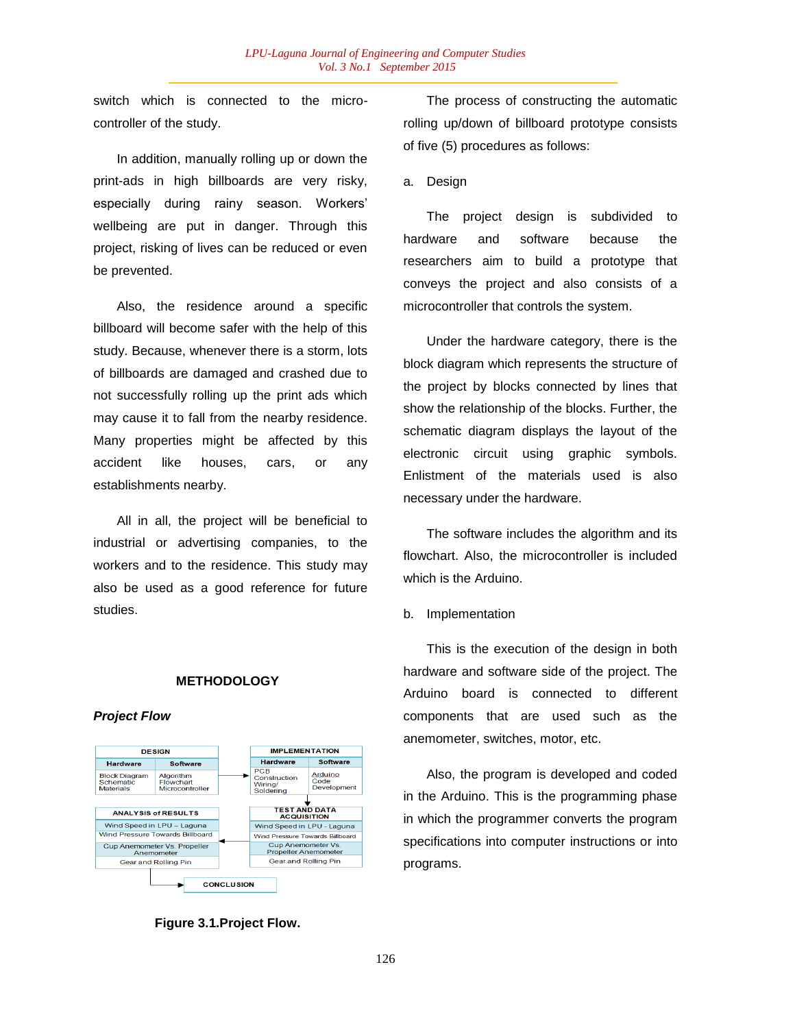switch which is connected to the microcontroller of the study.

In addition, manually rolling up or down the print-ads in high billboards are very risky, especially during rainy season. Workers" wellbeing are put in danger. Through this project, risking of lives can be reduced or even be prevented.

Also, the residence around a specific billboard will become safer with the help of this study. Because, whenever there is a storm, lots of billboards are damaged and crashed due to not successfully rolling up the print ads which may cause it to fall from the nearby residence. Many properties might be affected by this accident like houses, cars, or any establishments nearby.

All in all, the project will be beneficial to industrial or advertising companies, to the workers and to the residence. This study may also be used as a good reference for future studies.

## **METHODOLOGY**

### *Project Flow*



**Figure 3.1.Project Flow.**

The process of constructing the automatic rolling up/down of billboard prototype consists of five (5) procedures as follows:

a. Design

The project design is subdivided to hardware and software because the researchers aim to build a prototype that conveys the project and also consists of a microcontroller that controls the system.

Under the hardware category, there is the block diagram which represents the structure of the project by blocks connected by lines that show the relationship of the blocks. Further, the schematic diagram displays the layout of the electronic circuit using graphic symbols. Enlistment of the materials used is also necessary under the hardware.

The software includes the algorithm and its flowchart. Also, the microcontroller is included which is the Arduino.

#### b. Implementation

This is the execution of the design in both hardware and software side of the project. The Arduino board is connected to different components that are used such as the anemometer, switches, motor, etc.

Also, the program is developed and coded in the Arduino. This is the programming phase in which the programmer converts the program specifications into computer instructions or into programs.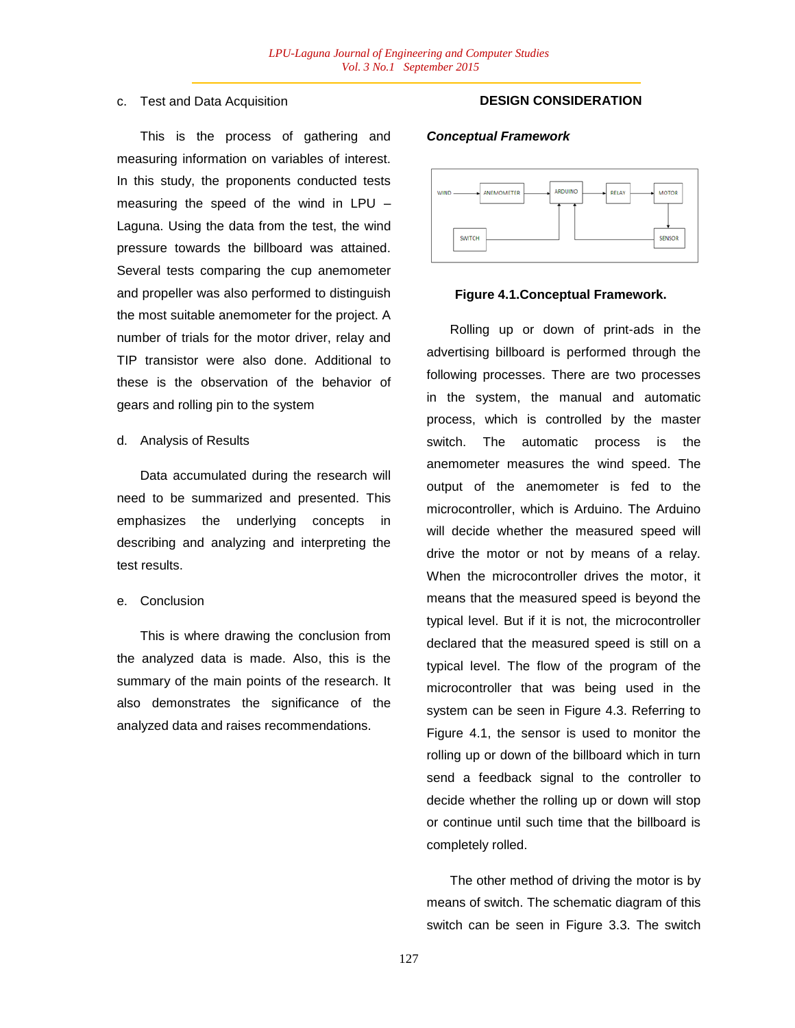## c. Test and Data Acquisition

This is the process of gathering and measuring information on variables of interest. In this study, the proponents conducted tests measuring the speed of the wind in LPU – Laguna. Using the data from the test, the wind pressure towards the billboard was attained. Several tests comparing the cup anemometer and propeller was also performed to distinguish the most suitable anemometer for the project. A number of trials for the motor driver, relay and TIP transistor were also done. Additional to these is the observation of the behavior of gears and rolling pin to the system

#### d. Analysis of Results

Data accumulated during the research will need to be summarized and presented. This emphasizes the underlying concepts in describing and analyzing and interpreting the test results.

## e. Conclusion

This is where drawing the conclusion from the analyzed data is made. Also, this is the summary of the main points of the research. It also demonstrates the significance of the analyzed data and raises recommendations.

## **DESIGN CONSIDERATION**

#### *Conceptual Framework*



#### **Figure 4.1.Conceptual Framework.**

Rolling up or down of print-ads in the advertising billboard is performed through the following processes. There are two processes in the system, the manual and automatic process, which is controlled by the master switch. The automatic process is the anemometer measures the wind speed. The output of the anemometer is fed to the microcontroller, which is Arduino. The Arduino will decide whether the measured speed will drive the motor or not by means of a relay. When the microcontroller drives the motor, it means that the measured speed is beyond the typical level. But if it is not, the microcontroller declared that the measured speed is still on a typical level. The flow of the program of the microcontroller that was being used in the system can be seen in Figure 4.3. Referring to Figure 4.1, the sensor is used to monitor the rolling up or down of the billboard which in turn send a feedback signal to the controller to decide whether the rolling up or down will stop or continue until such time that the billboard is completely rolled.

The other method of driving the motor is by means of switch. The schematic diagram of this switch can be seen in Figure 3.3. The switch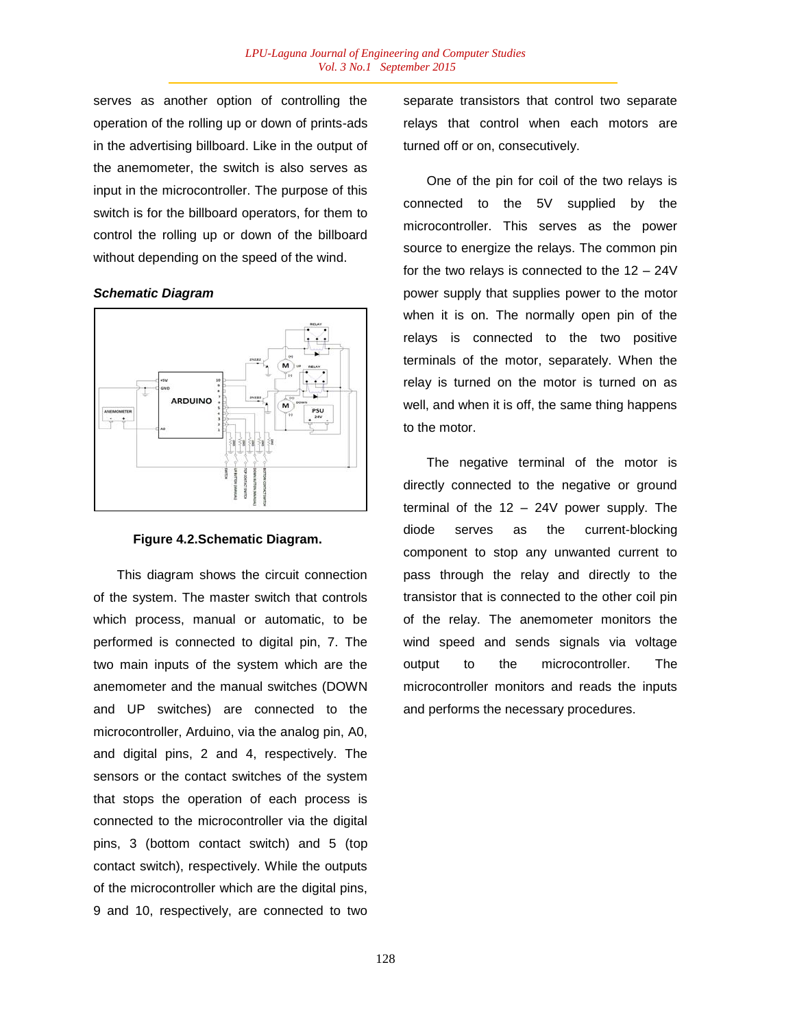serves as another option of controlling the operation of the rolling up or down of prints-ads in the advertising billboard. Like in the output of the anemometer, the switch is also serves as input in the microcontroller. The purpose of this switch is for the billboard operators, for them to control the rolling up or down of the billboard without depending on the speed of the wind.

### *Schematic Diagram*



## **Figure 4.2.Schematic Diagram.**

This diagram shows the circuit connection of the system. The master switch that controls which process, manual or automatic, to be performed is connected to digital pin, 7. The two main inputs of the system which are the anemometer and the manual switches (DOWN and UP switches) are connected to the microcontroller, Arduino, via the analog pin, A0, and digital pins, 2 and 4, respectively. The sensors or the contact switches of the system that stops the operation of each process is connected to the microcontroller via the digital pins, 3 (bottom contact switch) and 5 (top contact switch), respectively. While the outputs of the microcontroller which are the digital pins, 9 and 10, respectively, are connected to two

separate transistors that control two separate relays that control when each motors are turned off or on, consecutively.

One of the pin for coil of the two relays is connected to the 5V supplied by the microcontroller. This serves as the power source to energize the relays. The common pin for the two relays is connected to the 12 – 24V power supply that supplies power to the motor when it is on. The normally open pin of the relays is connected to the two positive terminals of the motor, separately. When the relay is turned on the motor is turned on as well, and when it is off, the same thing happens to the motor.

The negative terminal of the motor is directly connected to the negative or ground terminal of the 12 – 24V power supply. The diode serves as the current-blocking component to stop any unwanted current to pass through the relay and directly to the transistor that is connected to the other coil pin of the relay. The anemometer monitors the wind speed and sends signals via voltage output to the microcontroller. The microcontroller monitors and reads the inputs and performs the necessary procedures.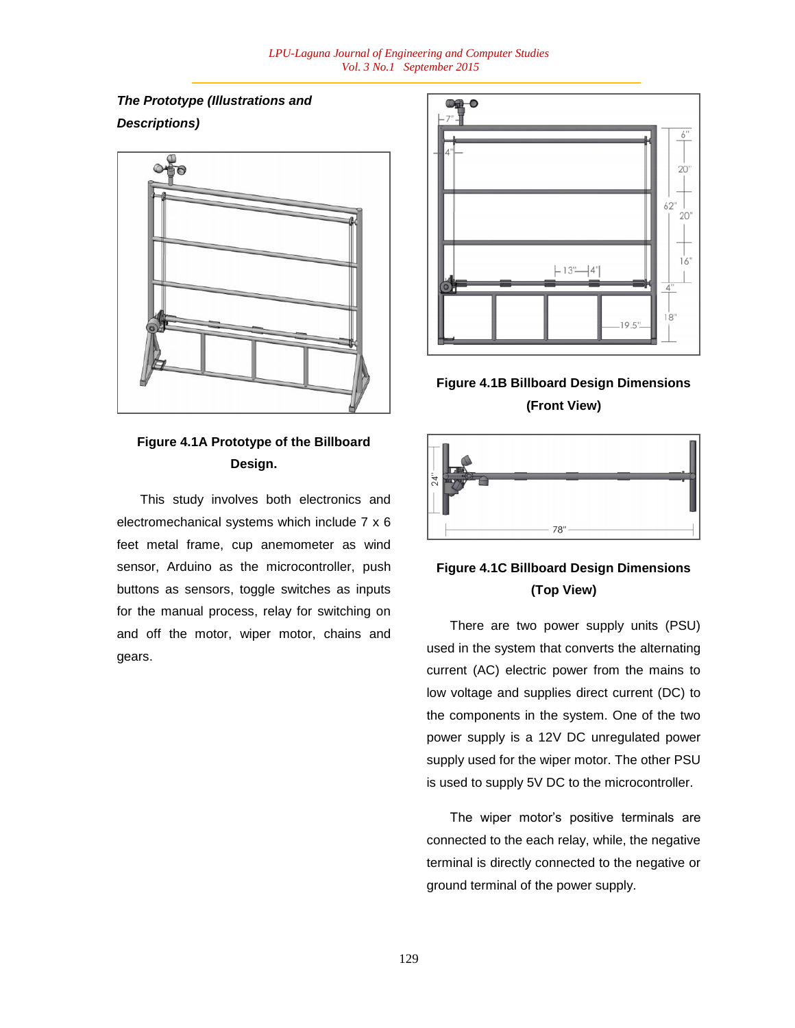*The Prototype (Illustrations and Descriptions)*



# **Figure 4.1A Prototype of the Billboard Design.**

This study involves both electronics and electromechanical systems which include 7 x 6 feet metal frame, cup anemometer as wind sensor, Arduino as the microcontroller, push buttons as sensors, toggle switches as inputs for the manual process, relay for switching on and off the motor, wiper motor, chains and gears.



**Figure 4.1B Billboard Design Dimensions (Front View)**



# **Figure 4.1C Billboard Design Dimensions (Top View)**

There are two power supply units (PSU) used in the system that converts the alternating current (AC) electric power from the mains to low voltage and supplies direct current (DC) to the components in the system. One of the two power supply is a 12V DC unregulated power supply used for the wiper motor. The other PSU is used to supply 5V DC to the microcontroller.

The wiper motor"s positive terminals are connected to the each relay, while, the negative terminal is directly connected to the negative or ground terminal of the power supply.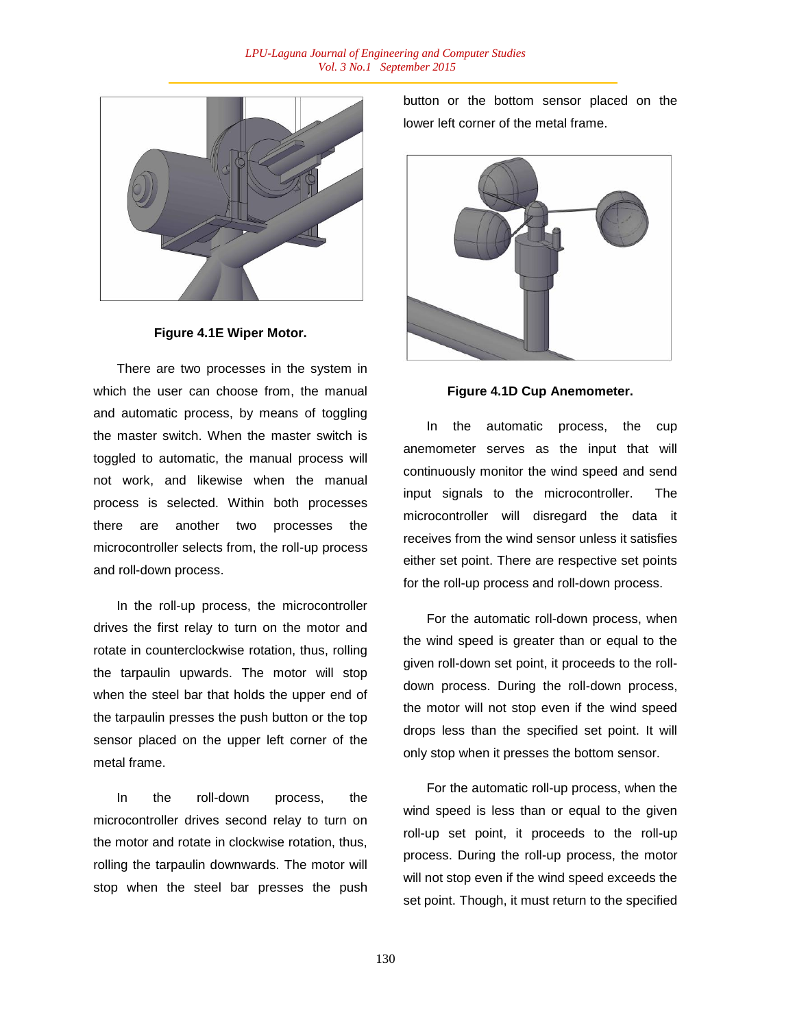

#### **Figure 4.1E Wiper Motor.**

There are two processes in the system in which the user can choose from, the manual and automatic process, by means of toggling the master switch. When the master switch is toggled to automatic, the manual process will not work, and likewise when the manual process is selected. Within both processes there are another two processes the microcontroller selects from, the roll-up process and roll-down process.

In the roll-up process, the microcontroller drives the first relay to turn on the motor and rotate in counterclockwise rotation, thus, rolling the tarpaulin upwards. The motor will stop when the steel bar that holds the upper end of the tarpaulin presses the push button or the top sensor placed on the upper left corner of the metal frame.

In the roll-down process, the microcontroller drives second relay to turn on the motor and rotate in clockwise rotation, thus, rolling the tarpaulin downwards. The motor will stop when the steel bar presses the push button or the bottom sensor placed on the lower left corner of the metal frame.



**Figure 4.1D Cup Anemometer.**

In the automatic process, the cup anemometer serves as the input that will continuously monitor the wind speed and send input signals to the microcontroller. The microcontroller will disregard the data it receives from the wind sensor unless it satisfies either set point. There are respective set points for the roll-up process and roll-down process.

For the automatic roll-down process, when the wind speed is greater than or equal to the given roll-down set point, it proceeds to the rolldown process. During the roll-down process, the motor will not stop even if the wind speed drops less than the specified set point. It will only stop when it presses the bottom sensor.

For the automatic roll-up process, when the wind speed is less than or equal to the given roll-up set point, it proceeds to the roll-up process. During the roll-up process, the motor will not stop even if the wind speed exceeds the set point. Though, it must return to the specified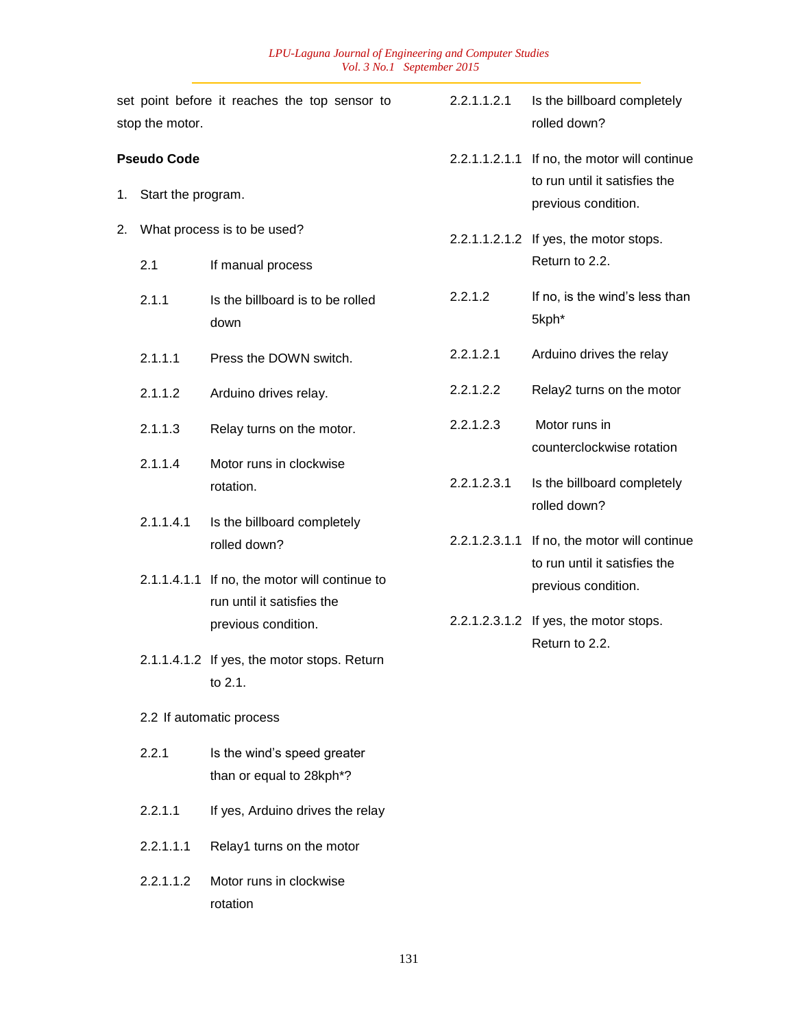|                                                | stop the motor.             | set point before it reaches the top sensor to           | 2.2.1.1.2.1                                            | Is the billboard completely<br>rolled down?                                                                                                        |  |
|------------------------------------------------|-----------------------------|---------------------------------------------------------|--------------------------------------------------------|----------------------------------------------------------------------------------------------------------------------------------------------------|--|
| <b>Pseudo Code</b><br>Start the program.<br>1. |                             |                                                         |                                                        | 2.2.1.1.2.1.1 If no, the motor will continue<br>to run until it satisfies the<br>previous condition.                                               |  |
| 2.                                             | What process is to be used? |                                                         |                                                        | 2.2.1.1.2.1.2 If yes, the motor stops.                                                                                                             |  |
|                                                | 2.1                         | If manual process                                       |                                                        | Return to 2.2.                                                                                                                                     |  |
|                                                | 2.1.1                       | Is the billboard is to be rolled<br>down                | 2.2.1.2                                                | If no, is the wind's less than<br>5kph*                                                                                                            |  |
|                                                | 2.1.1.1                     | Press the DOWN switch.                                  | 2.2.1.2.1                                              | Arduino drives the relay                                                                                                                           |  |
|                                                | 2.1.1.2                     | Arduino drives relay.                                   | 2.2.1.2.2                                              | Relay2 turns on the motor                                                                                                                          |  |
|                                                | 2.1.1.3                     | Relay turns on the motor.                               | 2.2.1.2.3                                              | Motor runs in<br>counterclockwise rotation                                                                                                         |  |
|                                                | 2.1.1.4                     | Motor runs in clockwise                                 |                                                        |                                                                                                                                                    |  |
|                                                |                             | rotation.                                               | 2.2.1.2.3.1                                            | Is the billboard completely<br>rolled down?                                                                                                        |  |
|                                                | 2.1.1.4.1                   | Is the billboard completely<br>rolled down?             | 2.2.1.2.3.1.1                                          | If no, the motor will continue<br>to run until it satisfies the<br>previous condition.<br>2.2.1.2.3.1.2 If yes, the motor stops.<br>Return to 2.2. |  |
|                                                |                             |                                                         |                                                        |                                                                                                                                                    |  |
|                                                |                             | previous condition.                                     |                                                        |                                                                                                                                                    |  |
|                                                |                             |                                                         | 2.1.1.4.1.2 If yes, the motor stops. Return<br>to 2.1. |                                                                                                                                                    |  |
|                                                |                             | 2.2 If automatic process                                |                                                        |                                                                                                                                                    |  |
|                                                | 2.2.1                       | Is the wind's speed greater<br>than or equal to 28kph*? |                                                        |                                                                                                                                                    |  |
|                                                | 2.2.1.1                     | If yes, Arduino drives the relay                        |                                                        |                                                                                                                                                    |  |
|                                                | 2.2.1.1.1                   | Relay1 turns on the motor                               |                                                        |                                                                                                                                                    |  |
|                                                | 2.2.1.1.2                   | Motor runs in clockwise<br>rotation                     |                                                        |                                                                                                                                                    |  |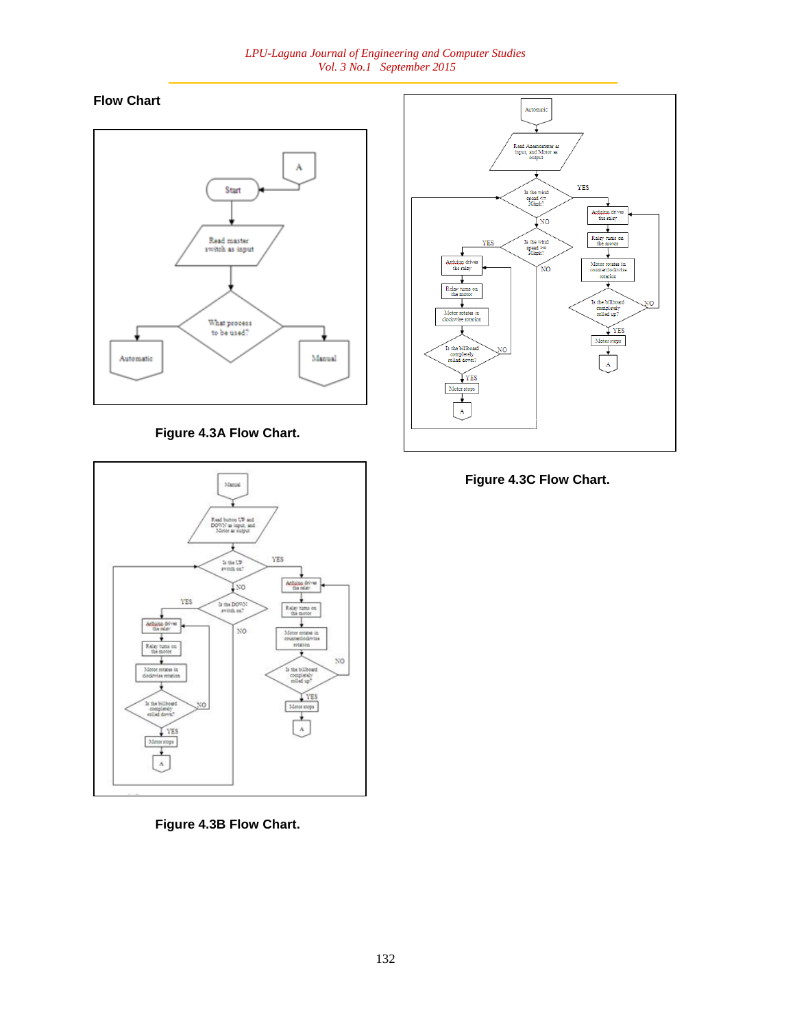### *LPU-Laguna Journal of Engineering and Computer Studies Vol. 3 No.1 September 2015*

# **Flow Chart**



**Figure 4.3A Flow Chart.**





**Figure 4.3C Flow Chart.**



is the bill xempler<br>Usef do YES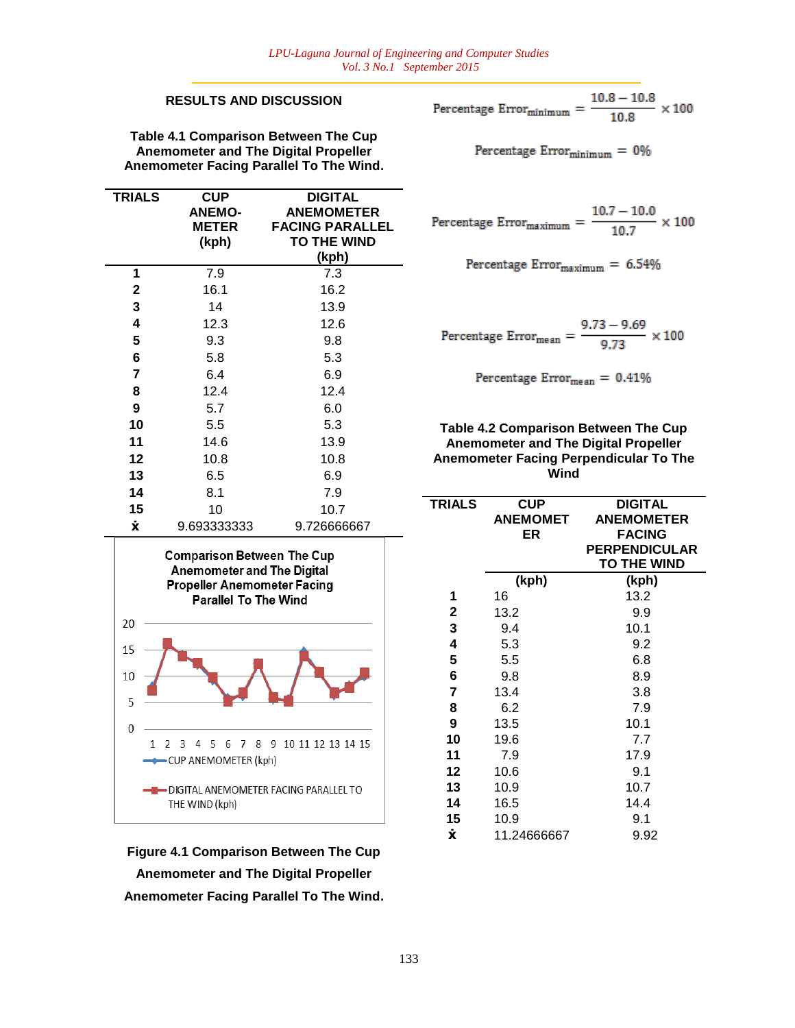## **RESULTS AND DISCUSSION**

**Table 4.1 Comparison Between The Cup Anemometer and The Digital Propeller Anemometer Facing Parallel To The Wind.**

| <b>TRIALS</b> | <b>CUP</b><br><b>ANEMO-</b><br><b>METER</b><br>(kph) | <b>DIGITAL</b><br><b>ANEMOMETER</b><br><b>FACING PARALLEL</b><br><b>TO THE WIND</b><br>(kph) |
|---------------|------------------------------------------------------|----------------------------------------------------------------------------------------------|
| 1             | 7.9                                                  | 7.3                                                                                          |
| $\mathbf{2}$  | 16.1                                                 | 16.2                                                                                         |
| 3             | 14                                                   | 13.9                                                                                         |
| 4             | 12.3                                                 | 12.6                                                                                         |
| 5             | 9.3                                                  | 9.8                                                                                          |
| 6             | 5.8                                                  | 5.3                                                                                          |
| 7             | 6.4                                                  | 6.9                                                                                          |
| 8             | 12.4                                                 | 12.4                                                                                         |
| 9             | 5.7                                                  | 6.0                                                                                          |
| 10            | 5.5                                                  | 5.3                                                                                          |
| 11            | 14.6                                                 | 13.9                                                                                         |
| 12            | 10.8                                                 | 10.8                                                                                         |
| 13            | 6.5                                                  | 6.9                                                                                          |
| 14            | 8.1                                                  | 7.9                                                                                          |
| 15            | 10                                                   | 10.7                                                                                         |
| Ÿ.            | 9.693333333                                          | 9.726666667                                                                                  |



**Figure 4.1 Comparison Between The Cup Anemometer and The Digital Propeller Anemometer Facing Parallel To The Wind.**

Percentage Error<sub>minimum</sub> = 
$$
\frac{10.8 - 10.8}{10.8} \times 100
$$

Percentage  $Error<sub>minimum</sub> = 0%$ 

Percentage Error<sub>maximum</sub> = 
$$
\frac{10.7 - 10.0}{10.7} \times 100
$$

Percentage  $Error_{maximum} = 6.54\%$ 

Percentage Error<sub>mean</sub> =  $\frac{9.73 - 9.69}{9.73} \times 100$ 

Percentage  $Error_{mean} = 0.41\%$ 

## **Table 4.2 Comparison Between The Cup Anemometer and The Digital Propeller Anemometer Facing Perpendicular To The Wind**

| <b>TRIALS</b> | <b>CUP</b><br><b>ANEMOMET</b><br>ER | <b>DIGITAL</b><br><b>ANEMOMETER</b><br><b>FACING</b><br><b>PERPENDICULAR</b><br><b>TO THE WIND</b> |  |  |
|---------------|-------------------------------------|----------------------------------------------------------------------------------------------------|--|--|
| (kph)         |                                     | (kph)                                                                                              |  |  |
| 1             | 16                                  | 13.2                                                                                               |  |  |
| $\mathbf 2$   | 13.2                                | 9.9                                                                                                |  |  |
| 3             | 9.4                                 | 10.1                                                                                               |  |  |
| 4             | 5.3                                 | 9.2                                                                                                |  |  |
| 5             | 5.5                                 | 6.8                                                                                                |  |  |
| 6             | 9.8                                 | 8.9                                                                                                |  |  |
| 7             | 13.4                                | 3.8                                                                                                |  |  |
| 8             | 6.2                                 | 7.9                                                                                                |  |  |
| 9             | 13.5                                | 10.1                                                                                               |  |  |
| 10            | 19.6                                | 7.7                                                                                                |  |  |
| 11            | 7.9                                 | 17.9                                                                                               |  |  |
| 12            | 10.6                                | 9.1                                                                                                |  |  |
| 13            | 10.9                                | 10.7                                                                                               |  |  |
| 14            | 16.5                                | 14.4                                                                                               |  |  |
| 15            | 10.9                                | 9.1                                                                                                |  |  |
| Ÿ.            | 11.24666667                         | 9.92                                                                                               |  |  |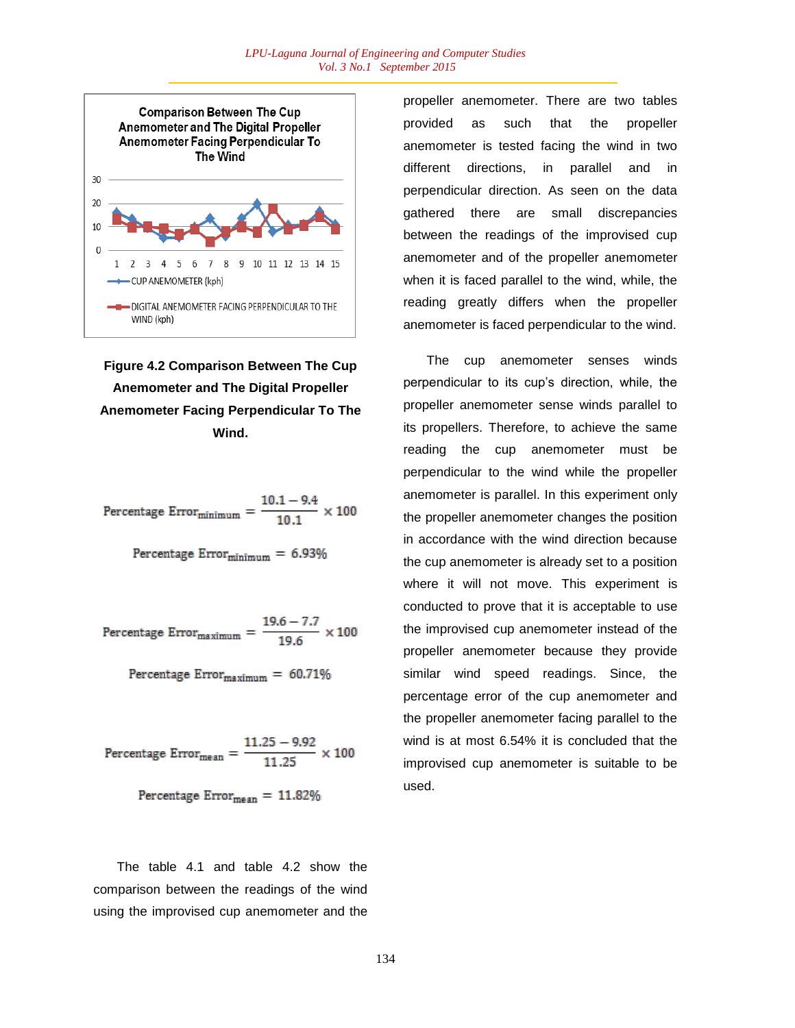

**Figure 4.2 Comparison Between The Cup Anemometer and The Digital Propeller Anemometer Facing Perpendicular To The Wind.**

Percentage Error $_{\text{minimum}} = \frac{10.1 - 9.4}{10.1} \times 100$ 

Percentage  $Error<sub>minimum</sub> = 6.93%$ 

Percentage Error $_{\text{maximum}} = \frac{19.6 - 7.7}{19.6} \times 100$ 

Percentage  $Error_{maximum} = 60.71\%$ 

Percentage Error<sub>mean</sub> =  $\frac{11.25 - 9.92}{11.25} \times 100$ 

Percentage  $Error_{mean} = 11.82\%$ 

The table 4.1 and table 4.2 show the comparison between the readings of the wind using the improvised cup anemometer and the

propeller anemometer. There are two tables provided as such that the propeller anemometer is tested facing the wind in two different directions, in parallel and in perpendicular direction. As seen on the data gathered there are small discrepancies between the readings of the improvised cup anemometer and of the propeller anemometer when it is faced parallel to the wind, while, the reading greatly differs when the propeller anemometer is faced perpendicular to the wind.

The cup anemometer senses winds perpendicular to its cup"s direction, while, the propeller anemometer sense winds parallel to its propellers. Therefore, to achieve the same reading the cup anemometer must be perpendicular to the wind while the propeller anemometer is parallel. In this experiment only the propeller anemometer changes the position in accordance with the wind direction because the cup anemometer is already set to a position where it will not move. This experiment is conducted to prove that it is acceptable to use the improvised cup anemometer instead of the propeller anemometer because they provide similar wind speed readings. Since, the percentage error of the cup anemometer and the propeller anemometer facing parallel to the wind is at most 6.54% it is concluded that the improvised cup anemometer is suitable to be used.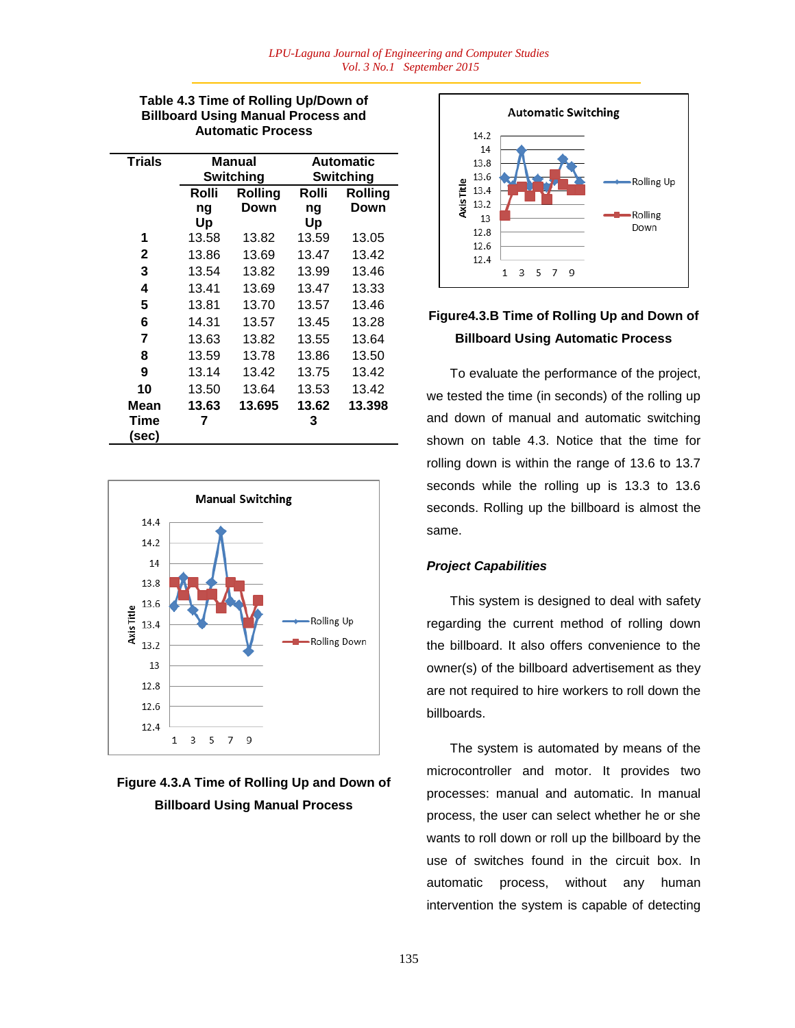## **Table 4.3 Time of Rolling Up/Down of Billboard Using Manual Process and Automatic Process**

| <b>Trials</b> | Manual<br><b>Switching</b> |                | <b>Automatic</b><br>Switching |         |
|---------------|----------------------------|----------------|-------------------------------|---------|
|               | Rolli                      | <b>Rolling</b> | Rolli                         | Rolling |
|               | ng                         | Down           | ng                            | Down    |
|               | Up                         |                | Up                            |         |
| 1             | 13.58                      | 13.82          | 13.59                         | 13.05   |
| 2             | 13.86                      | 13.69          | 13.47                         | 13.42   |
| 3             | 13.54                      | 13.82          | 13.99                         | 13.46   |
| 4             | 13.41                      | 13.69          | 13.47                         | 13.33   |
| 5             | 13.81                      | 13.70          | 13.57                         | 13.46   |
| 6             | 14.31                      | 13.57          | 13.45                         | 13.28   |
| 7             | 13.63                      | 13.82          | 13.55                         | 13.64   |
| 8             | 13.59                      | 13.78          | 13.86                         | 13.50   |
| 9             | 13.14                      | 13.42          | 13.75                         | 13.42   |
| 10            | 13.50                      | 13.64          | 13.53                         | 13.42   |
| Mean          | 13.63                      | 13.695         | 13.62                         | 13.398  |
| Time          | 7                          |                | 3                             |         |
| (sec)         |                            |                |                               |         |



# **Figure 4.3.A Time of Rolling Up and Down of Billboard Using Manual Process**



# **Figure4.3.B Time of Rolling Up and Down of Billboard Using Automatic Process**

To evaluate the performance of the project, we tested the time (in seconds) of the rolling up and down of manual and automatic switching shown on table 4.3. Notice that the time for rolling down is within the range of 13.6 to 13.7 seconds while the rolling up is 13.3 to 13.6 seconds. Rolling up the billboard is almost the same.

## *Project Capabilities*

This system is designed to deal with safety regarding the current method of rolling down the billboard. It also offers convenience to the owner(s) of the billboard advertisement as they are not required to hire workers to roll down the billboards.

The system is automated by means of the microcontroller and motor. It provides two processes: manual and automatic. In manual process, the user can select whether he or she wants to roll down or roll up the billboard by the use of switches found in the circuit box. In automatic process, without any human intervention the system is capable of detecting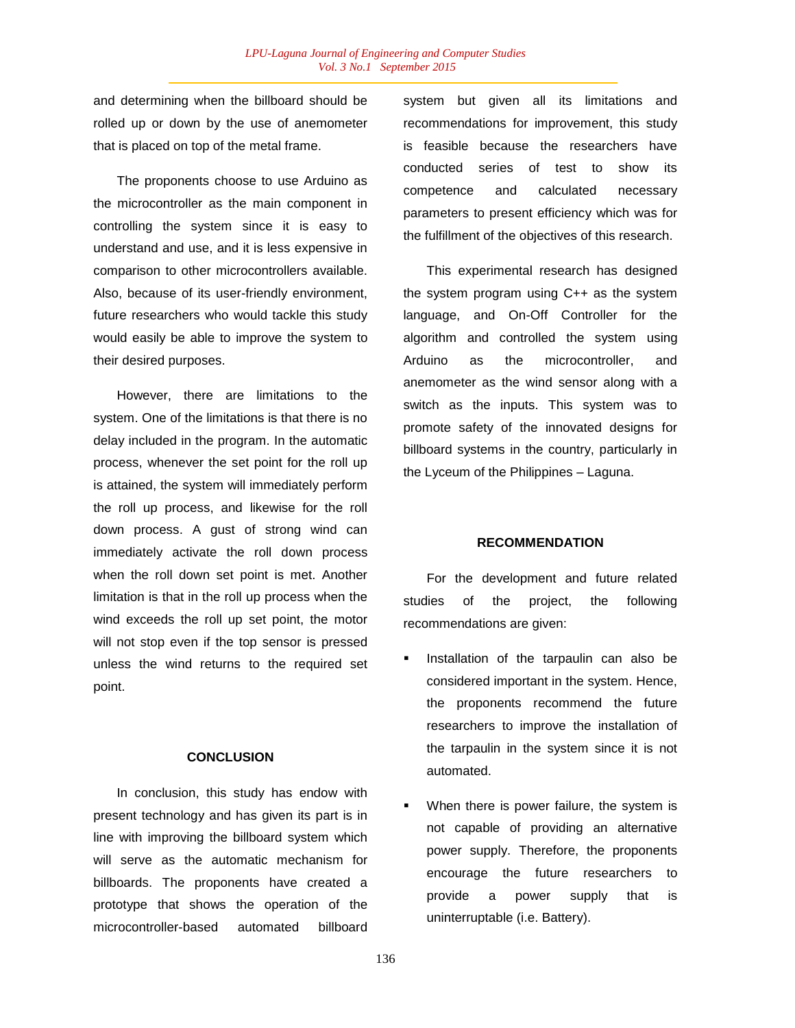and determining when the billboard should be rolled up or down by the use of anemometer that is placed on top of the metal frame.

The proponents choose to use Arduino as the microcontroller as the main component in controlling the system since it is easy to understand and use, and it is less expensive in comparison to other microcontrollers available. Also, because of its user-friendly environment, future researchers who would tackle this study would easily be able to improve the system to their desired purposes.

However, there are limitations to the system. One of the limitations is that there is no delay included in the program. In the automatic process, whenever the set point for the roll up is attained, the system will immediately perform the roll up process, and likewise for the roll down process. A gust of strong wind can immediately activate the roll down process when the roll down set point is met. Another limitation is that in the roll up process when the wind exceeds the roll up set point, the motor will not stop even if the top sensor is pressed unless the wind returns to the required set point.

#### **CONCLUSION**

In conclusion, this study has endow with present technology and has given its part is in line with improving the billboard system which will serve as the automatic mechanism for billboards. The proponents have created a prototype that shows the operation of the microcontroller-based automated billboard

system but given all its limitations and recommendations for improvement, this study is feasible because the researchers have conducted series of test to show its competence and calculated necessary parameters to present efficiency which was for the fulfillment of the objectives of this research.

This experimental research has designed the system program using C++ as the system language, and On-Off Controller for the algorithm and controlled the system using Arduino as the microcontroller, and anemometer as the wind sensor along with a switch as the inputs. This system was to promote safety of the innovated designs for billboard systems in the country, particularly in the Lyceum of the Philippines – Laguna.

### **RECOMMENDATION**

For the development and future related studies of the project, the following recommendations are given:

- Installation of the tarpaulin can also be considered important in the system. Hence, the proponents recommend the future researchers to improve the installation of the tarpaulin in the system since it is not automated.
- When there is power failure, the system is not capable of providing an alternative power supply. Therefore, the proponents encourage the future researchers to provide a power supply that is uninterruptable (i.e. Battery).